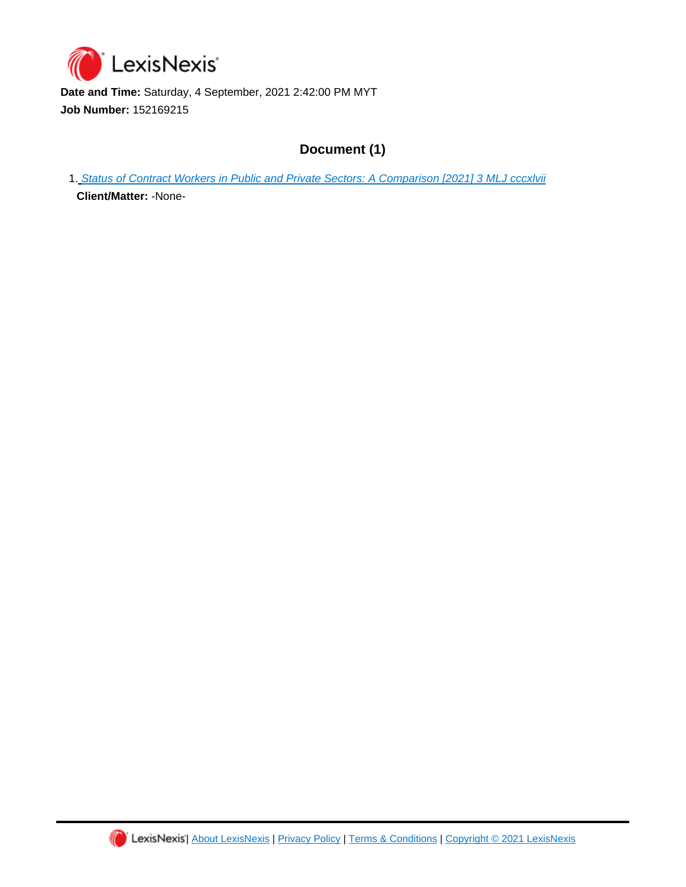

**Date and Time:** Saturday, 4 September, 2021 2:42:00 PM MYT **Job Number:** 152169215

## **Document (1)**

1. [Status of Contract Workers in Public and Private Sectors: A Comparison \[2021\] 3 MLJ cccxlvii](https://advance.lexis.com/api/document?id=urn:contentItem:63H9-WG51-JWBS-60BS-00000-00&idtype=PID&context=1522468)

**Client/Matter:** -None-

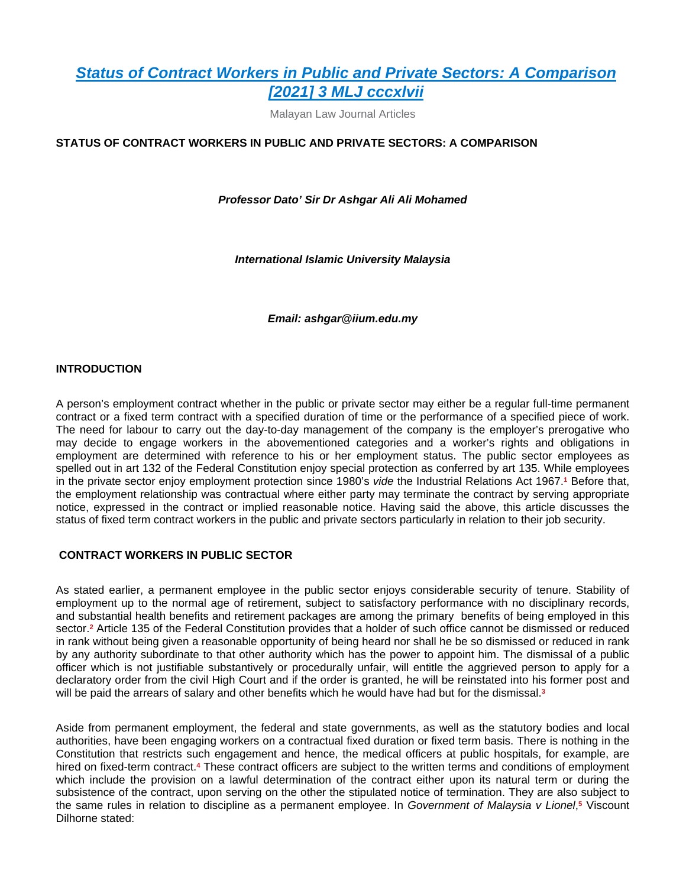Malayan Law Journal Articles

#### **STATUS OF CONTRACT WORKERS IN PUBLIC AND PRIVATE SECTORS: A COMPARISON**

*Professor Dato' Sir Dr Ashgar Ali Ali Mohamed*

*International Islamic University Malaysia*

*Email: ashgar@iium.edu.my*

#### **INTRODUCTION**

A person's employment contract whether in the public or private sector may either be a regular full-time permanent contract or a fixed term contract with a specified duration of time or the performance of a specified piece of work. The need for labour to carry out the day-to-day management of the company is the employer's prerogative who may decide to engage workers in the abovementioned categories and a worker's rights and obligations in employment are determined with reference to his or her employment status. The public sector employees as spelled out in art 132 of the Federal Constitution enjoy special protection as conferred by art 135. While employees in the private sector enjoy employment protection since 1980's *vide* the Industrial Relations Act 1967.<sup>1</sup> Before that, the employment relationship was contractual where either party may terminate the contract by serving appropriate notice, expressed in the contract or implied reasonable notice. Having said the above, this article discusses the status of fixed term contract workers in the public and private sectors particularly in relation to their job security.

#### **CONTRACT WORKERS IN PUBLIC SECTOR**

As stated earlier, a permanent employee in the public sector enjoys considerable security of tenure. Stability of employment up to the normal age of retirement, subject to satisfactory performance with no disciplinary records, and substantial health benefits and retirement packages are among the primary benefits of being employed in this sector.**<sup>2</sup>** Article 135 of the Federal Constitution provides that a holder of such office cannot be dismissed or reduced in rank without being given a reasonable opportunity of being heard nor shall he be so dismissed or reduced in rank by any authority subordinate to that other authority which has the power to appoint him. The dismissal of a public officer which is not justifiable substantively or procedurally unfair, will entitle the aggrieved person to apply for a declaratory order from the civil High Court and if the order is granted, he will be reinstated into his former post and will be paid the arrears of salary and other benefits which he would have had but for the dismissal.**<sup>3</sup>**

Aside from permanent employment, the federal and state governments, as well as the statutory bodies and local authorities, have been engaging workers on a contractual fixed duration or fixed term basis. There is nothing in the Constitution that restricts such engagement and hence, the medical officers at public hospitals, for example, are hired on fixed-term contract.<sup>4</sup> These contract officers are subject to the written terms and conditions of employment which include the provision on a lawful determination of the contract either upon its natural term or during the subsistence of the contract, upon serving on the other the stipulated notice of termination. They are also subject to the same rules in relation to discipline as a permanent employee. In *Government of Malaysia v Lionel*,<sup>5</sup> Viscount Dilhorne stated: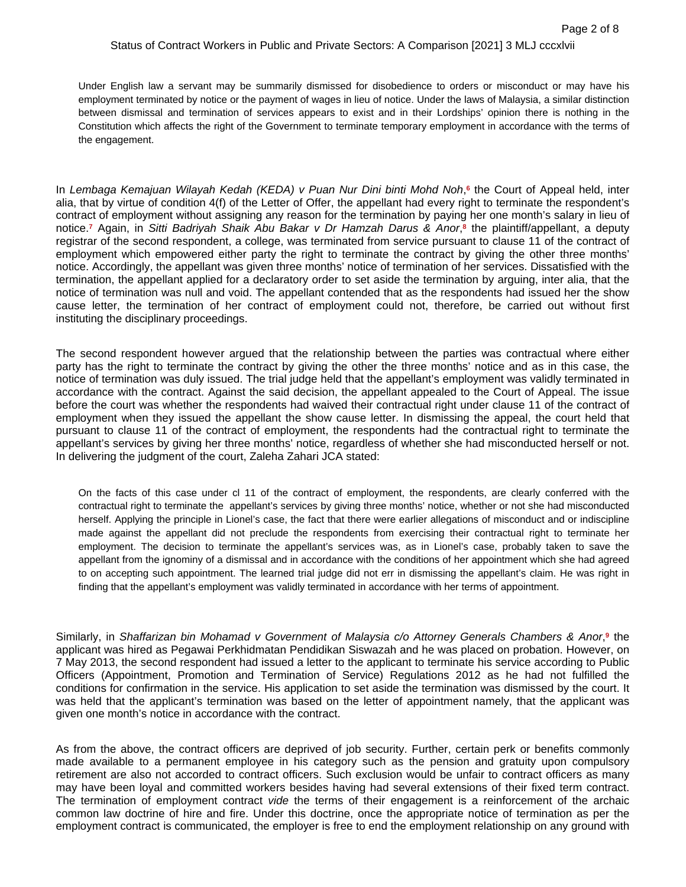Under English law a servant may be summarily dismissed for disobedience to orders or misconduct or may have his employment terminated by notice or the payment of wages in lieu of notice. Under the laws of Malaysia, a similar distinction between dismissal and termination of services appears to exist and in their Lordships' opinion there is nothing in the Constitution which affects the right of the Government to terminate temporary employment in accordance with the terms of the engagement.

In *Lembaga Kemajuan Wilayah Kedah (KEDA) v Puan Nur Dini binti Mohd Noh*, **6** the Court of Appeal held, inter alia, that by virtue of condition 4(f) of the Letter of Offer, the appellant had every right to terminate the respondent's contract of employment without assigning any reason for the termination by paying her one month's salary in lieu of notice.**<sup>7</sup>** Again, in *Sitti Badriyah Shaik Abu Bakar v Dr Hamzah Darus & Anor*, **8** the plaintiff/appellant, a deputy registrar of the second respondent, a college, was terminated from service pursuant to clause 11 of the contract of employment which empowered either party the right to terminate the contract by giving the other three months' notice. Accordingly, the appellant was given three months' notice of termination of her services. Dissatisfied with the termination, the appellant applied for a declaratory order to set aside the termination by arguing, inter alia, that the notice of termination was null and void. The appellant contended that as the respondents had issued her the show cause letter, the termination of her contract of employment could not, therefore, be carried out without first instituting the disciplinary proceedings.

The second respondent however argued that the relationship between the parties was contractual where either party has the right to terminate the contract by giving the other the three months' notice and as in this case, the notice of termination was duly issued. The trial judge held that the appellant's employment was validly terminated in accordance with the contract. Against the said decision, the appellant appealed to the Court of Appeal. The issue before the court was whether the respondents had waived their contractual right under clause 11 of the contract of employment when they issued the appellant the show cause letter. In dismissing the appeal, the court held that pursuant to clause 11 of the contract of employment, the respondents had the contractual right to terminate the appellant's services by giving her three months' notice, regardless of whether she had misconducted herself or not. In delivering the judgment of the court, Zaleha Zahari JCA stated:

On the facts of this case under cl 11 of the contract of employment, the respondents, are clearly conferred with the contractual right to terminate the appellant's services by giving three months' notice, whether or not she had misconducted herself. Applying the principle in Lionel's case, the fact that there were earlier allegations of misconduct and or indiscipline made against the appellant did not preclude the respondents from exercising their contractual right to terminate her employment. The decision to terminate the appellant's services was, as in Lionel's case, probably taken to save the appellant from the ignominy of a dismissal and in accordance with the conditions of her appointment which she had agreed to on accepting such appointment. The learned trial judge did not err in dismissing the appellant's claim. He was right in finding that the appellant's employment was validly terminated in accordance with her terms of appointment.

Similarly, in *Shaffarizan bin Mohamad v Government of Malaysia c/o Attorney Generals Chambers & Anor,<sup>9</sup> the* applicant was hired as Pegawai Perkhidmatan Pendidikan Siswazah and he was placed on probation. However, on 7 May 2013, the second respondent had issued a letter to the applicant to terminate his service according to Public Officers (Appointment, Promotion and Termination of Service) Regulations 2012 as he had not fulfilled the conditions for confirmation in the service. His application to set aside the termination was dismissed by the court. It was held that the applicant's termination was based on the letter of appointment namely, that the applicant was given one month's notice in accordance with the contract.

As from the above, the contract officers are deprived of job security. Further, certain perk or benefits commonly made available to a permanent employee in his category such as the pension and gratuity upon compulsory retirement are also not accorded to contract officers. Such exclusion would be unfair to contract officers as many may have been loyal and committed workers besides having had several extensions of their fixed term contract. The termination of employment contract *vide* the terms of their engagement is a reinforcement of the archaic common law doctrine of hire and fire. Under this doctrine, once the appropriate notice of termination as per the employment contract is communicated, the employer is free to end the employment relationship on any ground with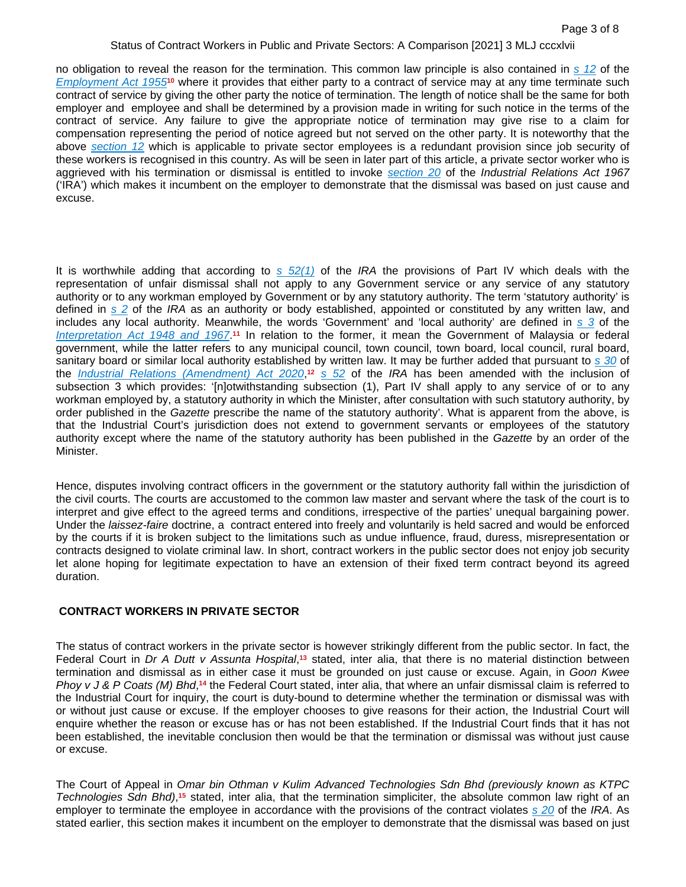no obligation to reveal the reason for the termination. This common law principle is also contained in *[s 12](https://advance.lexis.com/api/document?collection=legislation-my&id=urn:contentItem:5RC3-NHW1-JTGH-B251-00000-00&context=1522468)* of the *[Employment Act 1955](https://advance.lexis.com/api/document?collection=legislation-my&id=urn:contentItem:5RC3-NHS1-FFFC-B219-00000-00&context=1522468)***10** where it provides that either party to a contract of service may at any time terminate such contract of service by giving the other party the notice of termination. The length of notice shall be the same for both employer and employee and shall be determined by a provision made in writing for such notice in the terms of the contract of service. Any failure to give the appropriate notice of termination may give rise to a claim for compensation representing the period of notice agreed but not served on the other party. It is noteworthy that the above *[section 12](https://advance.lexis.com/api/document?collection=legislation-my&id=urn:contentItem:5RC3-NHW1-JTGH-B251-00000-00&context=1522468)* which is applicable to private sector employees is a redundant provision since job security of these workers is recognised in this country. As will be seen in later part of this article, a private sector worker who is aggrieved with his termination or dismissal is entitled to invoke *[section 20](https://advance.lexis.com/api/document?collection=legislation-my&id=urn:contentItem:5RC3-NHX1-F06F-2212-00000-00&context=1522468)* of the *Industrial Relations Act 1967* ('IRA') which makes it incumbent on the employer to demonstrate that the dismissal was based on just cause and excuse.

It is worthwhile adding that according to *[s 52\(1\)](https://advance.lexis.com/api/document?collection=legislation-my&id=urn:contentItem:5RC3-NHX1-F06F-2219-00000-00&context=1522468)* of the *IRA* the provisions of Part IV which deals with the representation of unfair dismissal shall not apply to any Government service or any service of any statutory authority or to any workman employed by Government or by any statutory authority. The term 'statutory authority' is defined in *[s 2](https://advance.lexis.com/api/document?collection=legislation-my&id=urn:contentItem:5RC3-NHX1-F60C-X3PB-00000-00&context=1522468)* of the *IRA* as an authority or body established, appointed or constituted by any written law, and includes any local authority. Meanwhile, the words 'Government' and 'local authority' are defined in *[s 3](https://advance.lexis.com/api/document?collection=legislation-my&id=urn:contentItem:5RC3-NHN1-JKB3-X4B8-00000-00&context=1522468)* of the *[Interpretation Act 1948 and 1967](https://advance.lexis.com/api/document?collection=legislation-my&id=urn:contentItem:5RC3-NHS1-JF1Y-B4WT-00000-00&context=1522468)*.<sup>11</sup> In relation to the former, it mean the Government of Malaysia or federal government, while the latter refers to any municipal council, town council, town board, local council, rural board, sanitary board or similar local authority established by written law. It may be further added that pursuant to *[s 30](https://advance.lexis.com/api/document?collection=legislation-my&id=urn:contentItem:5RC3-NHM1-JP4G-61J3-00000-00&context=1522468)* of the *[Industrial Relations \(Amendment\) Act 2020](https://advance.lexis.com/api/document?collection=legislation-my&id=urn:contentItem:5RC3-NHS1-JF1Y-B4WT-00000-00&context=1522468)*, **<sup>12</sup>** *[s 52](https://advance.lexis.com/api/document?collection=legislation-my&id=urn:contentItem:5RC3-NHX1-F06F-2219-00000-00&context=1522468)* of the *IRA* has been amended with the inclusion of subsection 3 which provides: '[n]otwithstanding subsection (1), Part IV shall apply to any service of or to any workman employed by, a statutory authority in which the Minister, after consultation with such statutory authority, by order published in the *Gazette* prescribe the name of the statutory authority'. What is apparent from the above, is that the Industrial Court's jurisdiction does not extend to government servants or employees of the statutory authority except where the name of the statutory authority has been published in the *Gazette* by an order of the Minister.

Hence, disputes involving contract officers in the government or the statutory authority fall within the jurisdiction of the civil courts. The courts are accustomed to the common law master and servant where the task of the court is to interpret and give effect to the agreed terms and conditions, irrespective of the parties' unequal bargaining power. Under the *laissez-faire* doctrine, a contract entered into freely and voluntarily is held sacred and would be enforced by the courts if it is broken subject to the limitations such as undue influence, fraud, duress, misrepresentation or contracts designed to violate criminal law. In short, contract workers in the public sector does not enjoy job security let alone hoping for legitimate expectation to have an extension of their fixed term contract beyond its agreed duration.

#### **CONTRACT WORKERS IN PRIVATE SECTOR**

The status of contract workers in the private sector is however strikingly different from the public sector. In fact, the Federal Court in Dr A Dutt v Assunta Hospital,<sup>13</sup> stated, inter alia, that there is no material distinction between termination and dismissal as in either case it must be grounded on just cause or excuse. Again, in *Goon Kwee Phoy v J & P Coats (M) Bhd*,<sup>14</sup> the Federal Court stated, inter alia, that where an unfair dismissal claim is referred to the Industrial Court for inquiry, the court is duty-bound to determine whether the termination or dismissal was with or without just cause or excuse. If the employer chooses to give reasons for their action, the Industrial Court will enquire whether the reason or excuse has or has not been established. If the Industrial Court finds that it has not been established, the inevitable conclusion then would be that the termination or dismissal was without just cause or excuse.

The Court of Appeal in *Omar bin Othman v Kulim Advanced Technologies Sdn Bhd (previously known as KTPC*  Technologies Sdn Bhd),<sup>15</sup> stated, inter alia, that the termination simpliciter, the absolute common law right of an employer to terminate the employee in accordance with the provisions of the contract violates *[s 20](https://advance.lexis.com/api/document?collection=legislation-my&id=urn:contentItem:5RC3-NHX1-F06F-2212-00000-00&context=1522468)* of the *IRA*. As stated earlier, this section makes it incumbent on the employer to demonstrate that the dismissal was based on just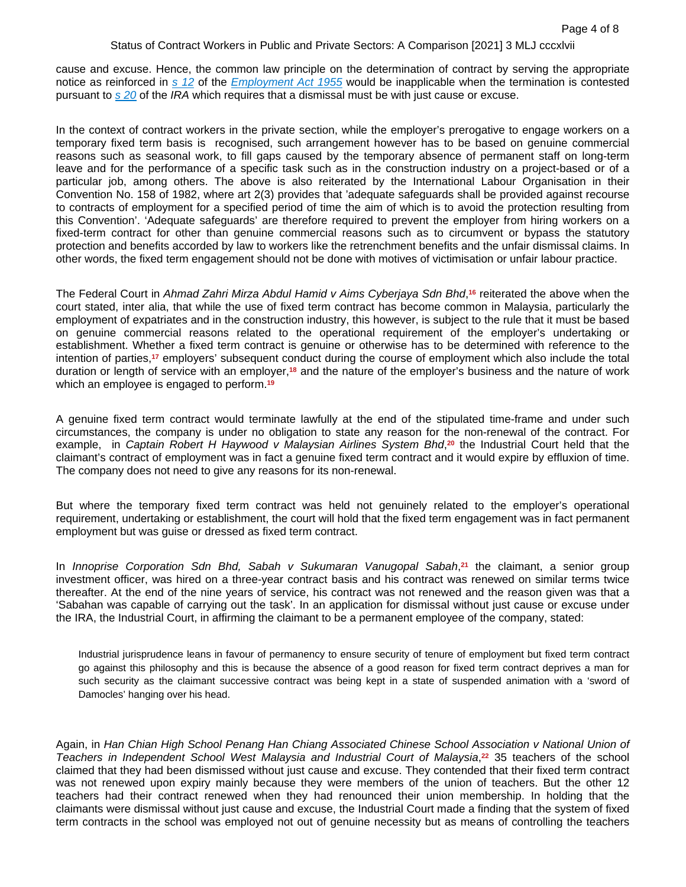cause and excuse. Hence, the common law principle on the determination of contract by serving the appropriate notice as reinforced in *[s 12](https://advance.lexis.com/api/document?collection=legislation-my&id=urn:contentItem:5RC3-NHW1-JTGH-B251-00000-00&context=1522468)* of the *[Employment Act 1955](https://advance.lexis.com/api/document?collection=legislation-my&id=urn:contentItem:5RC3-NHS1-FFFC-B219-00000-00&context=1522468)* would be inapplicable when the termination is contested pursuant to *[s 20](https://advance.lexis.com/api/document?collection=legislation-my&id=urn:contentItem:5RC3-NHX1-F06F-2212-00000-00&context=1522468)* of the *IRA* which requires that a dismissal must be with just cause or excuse.

In the context of contract workers in the private section, while the employer's prerogative to engage workers on a temporary fixed term basis is recognised, such arrangement however has to be based on genuine commercial reasons such as seasonal work, to fill gaps caused by the temporary absence of permanent staff on long-term leave and for the performance of a specific task such as in the construction industry on a project-based or of a particular job, among others. The above is also reiterated by the International Labour Organisation in their Convention No. 158 of 1982, where art 2(3) provides that 'adequate safeguards shall be provided against recourse to contracts of employment for a specified period of time the aim of which is to avoid the protection resulting from this Convention'. 'Adequate safeguards' are therefore required to prevent the employer from hiring workers on a fixed-term contract for other than genuine commercial reasons such as to circumvent or bypass the statutory protection and benefits accorded by law to workers like the retrenchment benefits and the unfair dismissal claims. In other words, the fixed term engagement should not be done with motives of victimisation or unfair labour practice.

The Federal Court in *Ahmad Zahri Mirza Abdul Hamid v Aims Cyberjaya Sdn Bhd*, **<sup>16</sup>** reiterated the above when the court stated, inter alia, that while the use of fixed term contract has become common in Malaysia, particularly the employment of expatriates and in the construction industry, this however, is subject to the rule that it must be based on genuine commercial reasons related to the operational requirement of the employer's undertaking or establishment. Whether a fixed term contract is genuine or otherwise has to be determined with reference to the intention of parties,**17** employers' subsequent conduct during the course of employment which also include the total duration or length of service with an employer,**18** and the nature of the employer's business and the nature of work which an employee is engaged to perform.**<sup>19</sup>**

A genuine fixed term contract would terminate lawfully at the end of the stipulated time-frame and under such circumstances, the company is under no obligation to state any reason for the non-renewal of the contract. For example, in *Captain Robert H Haywood v Malaysian Airlines System Bhd*, **<sup>20</sup>** the Industrial Court held that the claimant's contract of employment was in fact a genuine fixed term contract and it would expire by effluxion of time. The company does not need to give any reasons for its non-renewal.

But where the temporary fixed term contract was held not genuinely related to the employer's operational requirement, undertaking or establishment, the court will hold that the fixed term engagement was in fact permanent employment but was guise or dressed as fixed term contract.

In *Innoprise Corporation Sdn Bhd, Sabah v Sukumaran Vanugopal Sabah*, **<sup>21</sup>** the claimant, a senior group investment officer, was hired on a three-year contract basis and his contract was renewed on similar terms twice thereafter. At the end of the nine years of service, his contract was not renewed and the reason given was that a 'Sabahan was capable of carrying out the task'. In an application for dismissal without just cause or excuse under the IRA, the Industrial Court, in affirming the claimant to be a permanent employee of the company, stated:

Industrial jurisprudence leans in favour of permanency to ensure security of tenure of employment but fixed term contract go against this philosophy and this is because the absence of a good reason for fixed term contract deprives a man for such security as the claimant successive contract was being kept in a state of suspended animation with a 'sword of Damocles' hanging over his head.

Again, in *Han Chian High School Penang Han Chiang Associated Chinese School Association v National Union of*  Teachers in Independent School West Malaysia and Industrial Court of Malaysia,<sup>22</sup> 35 teachers of the school claimed that they had been dismissed without just cause and excuse. They contended that their fixed term contract was not renewed upon expiry mainly because they were members of the union of teachers. But the other 12 teachers had their contract renewed when they had renounced their union membership. In holding that the claimants were dismissal without just cause and excuse, the Industrial Court made a finding that the system of fixed term contracts in the school was employed not out of genuine necessity but as means of controlling the teachers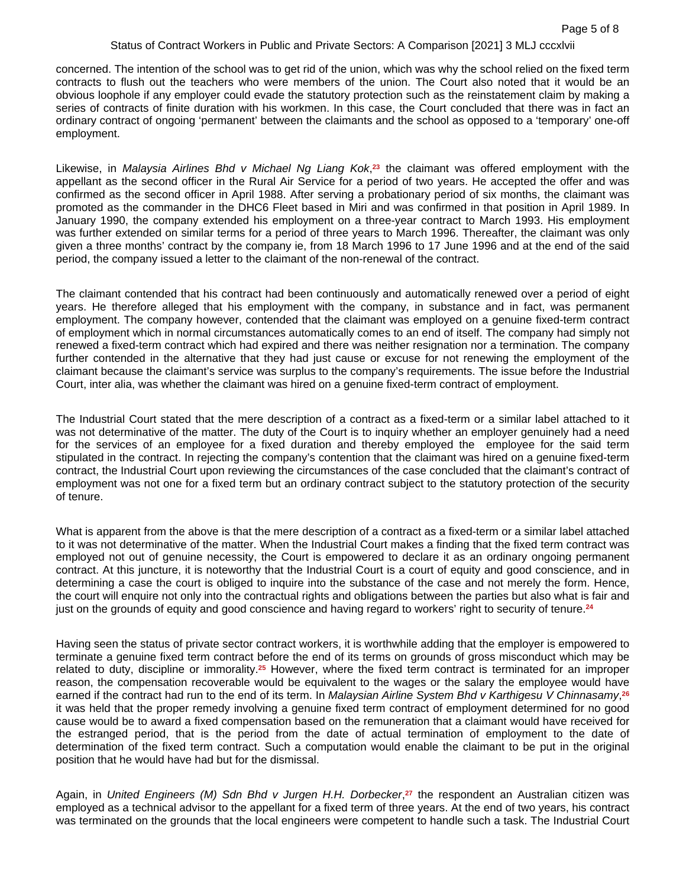concerned. The intention of the school was to get rid of the union, which was why the school relied on the fixed term contracts to flush out the teachers who were members of the union. The Court also noted that it would be an obvious loophole if any employer could evade the statutory protection such as the reinstatement claim by making a series of contracts of finite duration with his workmen. In this case, the Court concluded that there was in fact an ordinary contract of ongoing 'permanent' between the claimants and the school as opposed to a 'temporary' one-off employment.

Likewise, in *Malaysia Airlines Bhd v Michael Ng Liang Kok*, **<sup>23</sup>** the claimant was offered employment with the appellant as the second officer in the Rural Air Service for a period of two years. He accepted the offer and was confirmed as the second officer in April 1988. After serving a probationary period of six months, the claimant was promoted as the commander in the DHC6 Fleet based in Miri and was confirmed in that position in April 1989. In January 1990, the company extended his employment on a three-year contract to March 1993. His employment was further extended on similar terms for a period of three years to March 1996. Thereafter, the claimant was only given a three months' contract by the company ie, from 18 March 1996 to 17 June 1996 and at the end of the said period, the company issued a letter to the claimant of the non-renewal of the contract.

The claimant contended that his contract had been continuously and automatically renewed over a period of eight years. He therefore alleged that his employment with the company, in substance and in fact, was permanent employment. The company however, contended that the claimant was employed on a genuine fixed-term contract of employment which in normal circumstances automatically comes to an end of itself. The company had simply not renewed a fixed-term contract which had expired and there was neither resignation nor a termination. The company further contended in the alternative that they had just cause or excuse for not renewing the employment of the claimant because the claimant's service was surplus to the company's requirements. The issue before the Industrial Court, inter alia, was whether the claimant was hired on a genuine fixed-term contract of employment.

The Industrial Court stated that the mere description of a contract as a fixed-term or a similar label attached to it was not determinative of the matter. The duty of the Court is to inquiry whether an employer genuinely had a need for the services of an employee for a fixed duration and thereby employed the employee for the said term stipulated in the contract. In rejecting the company's contention that the claimant was hired on a genuine fixed-term contract, the Industrial Court upon reviewing the circumstances of the case concluded that the claimant's contract of employment was not one for a fixed term but an ordinary contract subject to the statutory protection of the security of tenure.

What is apparent from the above is that the mere description of a contract as a fixed-term or a similar label attached to it was not determinative of the matter. When the Industrial Court makes a finding that the fixed term contract was employed not out of genuine necessity, the Court is empowered to declare it as an ordinary ongoing permanent contract. At this juncture, it is noteworthy that the Industrial Court is a court of equity and good conscience, and in determining a case the court is obliged to inquire into the substance of the case and not merely the form. Hence, the court will enquire not only into the contractual rights and obligations between the parties but also what is fair and just on the grounds of equity and good conscience and having regard to workers' right to security of tenure.**<sup>24</sup>**

Having seen the status of private sector contract workers, it is worthwhile adding that the employer is empowered to terminate a genuine fixed term contract before the end of its terms on grounds of gross misconduct which may be related to duty, discipline or immorality.**25** However, where the fixed term contract is terminated for an improper reason, the compensation recoverable would be equivalent to the wages or the salary the employee would have earned if the contract had run to the end of its term. In *Malaysian Airline System Bhd v Karthigesu V Chinnasamy*, **26** it was held that the proper remedy involving a genuine fixed term contract of employment determined for no good cause would be to award a fixed compensation based on the remuneration that a claimant would have received for the estranged period, that is the period from the date of actual termination of employment to the date of determination of the fixed term contract. Such a computation would enable the claimant to be put in the original position that he would have had but for the dismissal.

Again, in *United Engineers (M) Sdn Bhd v Jurgen H.H. Dorbecker*, **<sup>27</sup>** the respondent an Australian citizen was employed as a technical advisor to the appellant for a fixed term of three years. At the end of two years, his contract was terminated on the grounds that the local engineers were competent to handle such a task. The Industrial Court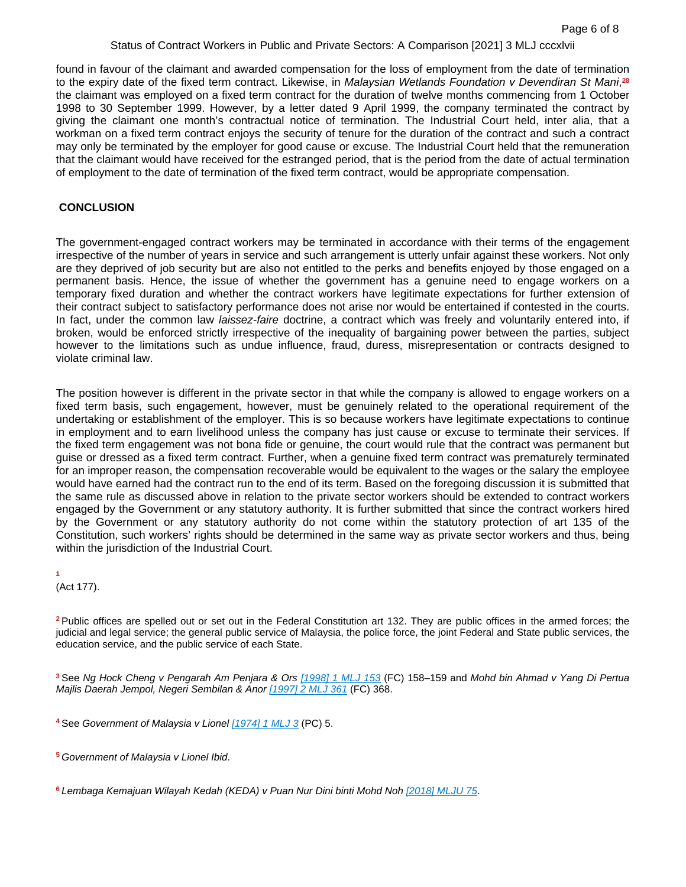found in favour of the claimant and awarded compensation for the loss of employment from the date of termination to the expiry date of the fixed term contract. Likewise, in *Malaysian Wetlands Foundation v Devendiran St Mani*, **28** the claimant was employed on a fixed term contract for the duration of twelve months commencing from 1 October 1998 to 30 September 1999. However, by a letter dated 9 April 1999, the company terminated the contract by giving the claimant one month's contractual notice of termination. The Industrial Court held, inter alia, that a workman on a fixed term contract enjoys the security of tenure for the duration of the contract and such a contract may only be terminated by the employer for good cause or excuse. The Industrial Court held that the remuneration that the claimant would have received for the estranged period, that is the period from the date of actual termination of employment to the date of termination of the fixed term contract, would be appropriate compensation.

#### **CONCLUSION**

The government-engaged contract workers may be terminated in accordance with their terms of the engagement irrespective of the number of years in service and such arrangement is utterly unfair against these workers. Not only are they deprived of job security but are also not entitled to the perks and benefits enjoyed by those engaged on a permanent basis. Hence, the issue of whether the government has a genuine need to engage workers on a temporary fixed duration and whether the contract workers have legitimate expectations for further extension of their contract subject to satisfactory performance does not arise nor would be entertained if contested in the courts. In fact, under the common law *laissez-faire* doctrine, a contract which was freely and voluntarily entered into, if broken, would be enforced strictly irrespective of the inequality of bargaining power between the parties, subject however to the limitations such as undue influence, fraud, duress, misrepresentation or contracts designed to violate criminal law.

The position however is different in the private sector in that while the company is allowed to engage workers on a fixed term basis, such engagement, however, must be genuinely related to the operational requirement of the undertaking or establishment of the employer. This is so because workers have legitimate expectations to continue in employment and to earn livelihood unless the company has just cause or excuse to terminate their services. If the fixed term engagement was not bona fide or genuine, the court would rule that the contract was permanent but guise or dressed as a fixed term contract. Further, when a genuine fixed term contract was prematurely terminated for an improper reason, the compensation recoverable would be equivalent to the wages or the salary the employee would have earned had the contract run to the end of its term. Based on the foregoing discussion it is submitted that the same rule as discussed above in relation to the private sector workers should be extended to contract workers engaged by the Government or any statutory authority. It is further submitted that since the contract workers hired by the Government or any statutory authority do not come within the statutory protection of art 135 of the Constitution, such workers' rights should be determined in the same way as private sector workers and thus, being within the jurisdiction of the Industrial Court.

**1**  (Act 177).

**<sup>2</sup>**Public offices are spelled out or set out in the Federal Constitution art 132. They are public offices in the armed forces; the judicial and legal service; the general public service of Malaysia, the police force, the joint Federal and State public services, the education service, and the public service of each State.

**<sup>3</sup>**See *Ng Hock Cheng v Pengarah Am Penjara & Ors [\[1998\] 1 MLJ 153](https://advance.lexis.com/api/document?collection=cases-my&id=urn:contentItem:5RC3-MDH1-FH4C-X40M-00000-00&context=1522468)* (FC) 158–159 and *Mohd bin Ahmad v Yang Di Pertua Majlis Daerah Jempol, Negeri Sembilan & Anor [\[1997\] 2 MLJ 361](https://advance.lexis.com/api/document?collection=cases-my&id=urn:contentItem:5RC3-MDJ1-JTGH-B1SP-00000-00&context=1522468)* (FC) 368.

**<sup>4</sup>**See *Government of Malaysia v Lionel [\[1974\] 1 MLJ 3](https://advance.lexis.com/api/document?collection=cases-my&id=urn:contentItem:5RC8-RCF1-JWBS-643B-00000-00&context=1522468)* (PC) 5.

**<sup>5</sup>***Government of Malaysia v Lionel Ibid*.

**6** *Lembaga Kemajuan Wilayah Kedah (KEDA) v Puan Nur Dini binti Mohd Noh [\[2018\] MLJU 75](https://advance.lexis.com/api/document?collection=cases-my&id=urn:contentItem:5WR3-F7Y1-JSC5-M096-00000-00&context=1522468)*.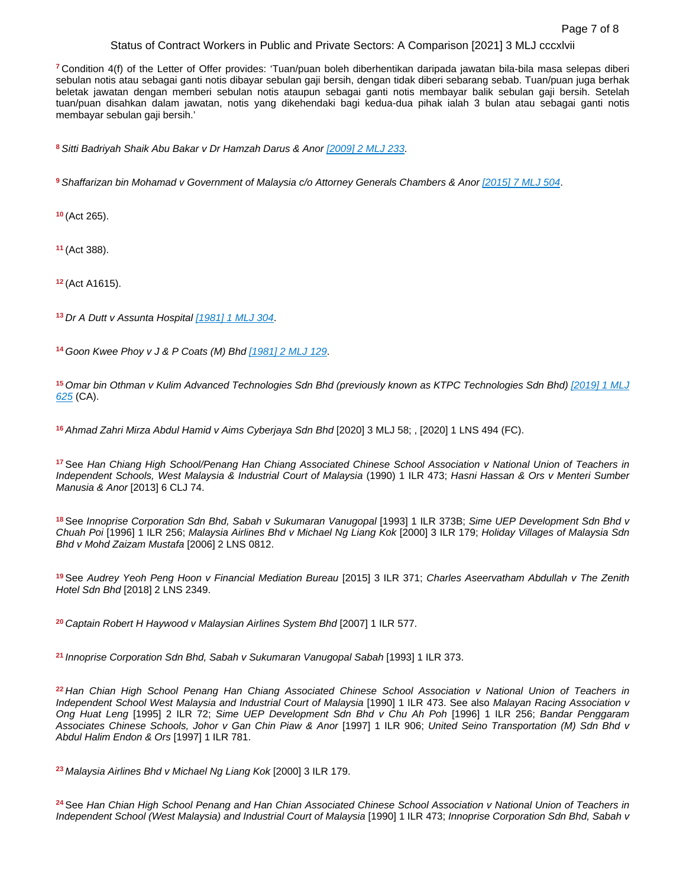**<sup>7</sup>**Condition 4(f) of the Letter of Offer provides: 'Tuan/puan boleh diberhentikan daripada jawatan bila-bila masa selepas diberi sebulan notis atau sebagai ganti notis dibayar sebulan gaji bersih, dengan tidak diberi sebarang sebab. Tuan/puan juga berhak beletak jawatan dengan memberi sebulan notis ataupun sebagai ganti notis membayar balik sebulan gaji bersih. Setelah tuan/puan disahkan dalam jawatan, notis yang dikehendaki bagi kedua-dua pihak ialah 3 bulan atau sebagai ganti notis membayar sebulan gaji bersih.'

**<sup>8</sup>***Sitti Badriyah Shaik Abu Bakar v Dr Hamzah Darus & Anor [\[2009\] 2 MLJ 233](https://advance.lexis.com/api/document?collection=cases-my&id=urn:contentItem:5RC3-MXM1-JT99-22FP-00000-00&context=1522468)*.

**<sup>9</sup>***Shaffarizan bin Mohamad v Government of Malaysia c/o Attorney Generals Chambers & Anor [\[2015\] 7 MLJ 504](https://advance.lexis.com/api/document?collection=cases-my&id=urn:contentItem:5RC8-X801-FGRY-B4GD-00000-00&context=1522468)*.

**<sup>10</sup>**(Act 265).

**<sup>11</sup>**(Act 388).

**<sup>12</sup>**(Act A1615).

**<sup>13</sup>***Dr A Dutt v Assunta Hospital [\[1981\] 1 MLJ 304](https://advance.lexis.com/api/document?collection=cases-my&id=urn:contentItem:5RC3-M301-F30T-B2R1-00000-00&context=1522468)*.

**<sup>14</sup>***Goon Kwee Phoy v J & P Coats (M) Bhd [\[1981\] 2 MLJ 129](https://advance.lexis.com/api/document?collection=cases-my&id=urn:contentItem:5RC3-M2Y1-FFTT-X2GJ-00000-00&context=1522468)*.

**<sup>15</sup>***Omar bin Othman v Kulim Advanced Technologies Sdn Bhd (previously known as KTPC Technologies Sdn Bhd) [\[2019\] 1 MLJ](https://advance.lexis.com/api/document?collection=cases-my&id=urn:contentItem:5RHY-KKK1-FK0M-S2RG-00000-00&context=1522468)  [625](https://advance.lexis.com/api/document?collection=cases-my&id=urn:contentItem:5RHY-KKK1-FK0M-S2RG-00000-00&context=1522468)* (CA).

<sup>16</sup> Ahmad Zahri Mirza Abdul Hamid v Aims Cyberjaya Sdn Bhd [2020] 3 MLJ 58; , [2020] 1 LNS 494 (FC).

**<sup>17</sup>**See *Han Chiang High School/Penang Han Chiang Associated Chinese School Association v National Union of Teachers in Independent Schools, West Malaysia & Industrial Court of Malaysia* (1990) 1 ILR 473; *Hasni Hassan & Ors v Menteri Sumber Manusia & Anor* [2013] 6 CLJ 74.

**<sup>18</sup>**See *Innoprise Corporation Sdn Bhd, Sabah v Sukumaran Vanugopal* [1993] 1 ILR 373B; *Sime UEP Development Sdn Bhd v Chuah Poi* [1996] 1 ILR 256; *Malaysia Airlines Bhd v Michael Ng Liang Kok* [2000] 3 ILR 179; *Holiday Villages of Malaysia Sdn Bhd v Mohd Zaizam Mustafa* [2006] 2 LNS 0812.

**<sup>19</sup>**See *Audrey Yeoh Peng Hoon v Financial Mediation Bureau* [2015] 3 ILR 371; *Charles Aseervatham Abdullah v The Zenith Hotel Sdn Bhd* [2018] 2 LNS 2349.

**<sup>20</sup>***Captain Robert H Haywood v Malaysian Airlines System Bhd* [2007] 1 ILR 577.

**<sup>21</sup>***Innoprise Corporation Sdn Bhd, Sabah v Sukumaran Vanugopal Sabah* [1993] 1 ILR 373.

**<sup>22</sup>***Han Chian High School Penang Han Chiang Associated Chinese School Association v National Union of Teachers in Independent School West Malaysia and Industrial Court of Malaysia* [1990] 1 ILR 473. See also *Malayan Racing Association v Ong Huat Leng* [1995] 2 ILR 72; *Sime UEP Development Sdn Bhd v Chu Ah Poh* [1996] 1 ILR 256; *Bandar Penggaram Associates Chinese Schools, Johor v Gan Chin Piaw & Anor* [1997] 1 ILR 906; *United Seino Transportation (M) Sdn Bhd v Abdul Halim Endon & Ors* [1997] 1 ILR 781.

**<sup>23</sup>***Malaysia Airlines Bhd v Michael Ng Liang Kok* [2000] 3 ILR 179.

**<sup>24</sup>**See *Han Chian High School Penang and Han Chian Associated Chinese School Association v National Union of Teachers in Independent School (West Malaysia) and Industrial Court of Malaysia* [1990] 1 ILR 473; *Innoprise Corporation Sdn Bhd, Sabah v*